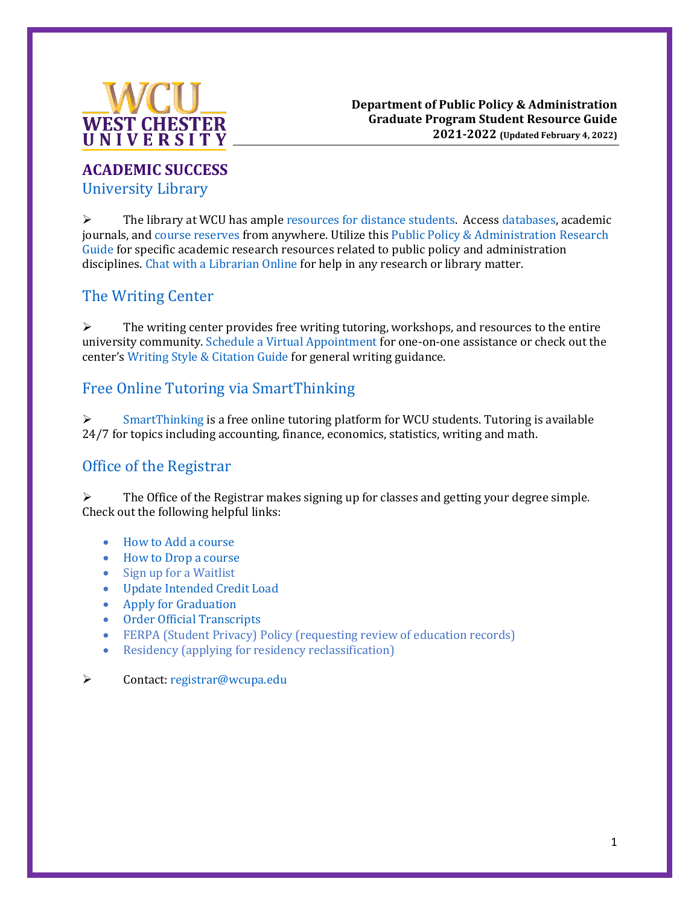

## **ACADEMIC SUCCESS** [University Library](https://library.wcupa.edu/home)

 $\triangleright$  The library at WCU has ample [resources for distance students.](https://library.wcupa.edu/distance) Access [databases,](https://library.wcupa.edu/az.php) academic journals, an[d course reserves](https://library.wcupa.edu/reserves) from anywhere. Utilize this [Public Policy & Administration](https://library.wcupa.edu/philly/public) Research Guide for specific academic research resources related to public policy and [administration](https://library.wcupa.edu/friendly.php?s=ask) [discipli](https://library.wcupa.edu/friendly.php?s=ask)nes. Chat with a Librarian Online for help in any research or library matter.

# [The Writing Center](https://www.wcupa.edu/_academics/writingcenter/)

 $\triangleright$  The writing center provides free writing tutoring, workshops, and resources to the entire university community[. Schedule a Virtual Appointment](https://wcu.mywconline.com/) for one-on-one assistance or check out the center's [Writing Style & Citation Guide](https://www.wcupa.edu/_academics/writingcenter/writerResourcesNew.aspx) for general writing guidance.

# [Free Online Tutoring via SmartThinking](https://www.wcupa.edu/universityCollege/larc/smarthinking.aspx)

 $\triangleright$  [SmartThinking](https://www.wcupa.edu/universityCollege/larc/smarthinking.aspx) is a free online tutoring platform for WCU students. Tutoring is available 24/7 for topics including accounting, finance, economics, statistics, writing and math.

## [Office of the Registrar](https://www.wcupa.edu/registrar/)

 $\triangleright$  The Office of the Registrar makes signing up for classes and getting your degree simple. Check out the following helpful links:

- [How to Add a course](https://www.wcupa.edu/academicEnterpriseSystems/training/addingClasses.aspx)
- [How to Drop a course](https://www.wcupa.edu/academicEnterpriseSystems/training/droppingClasses.aspx)
- [Sign up for a Waitlist](https://www.wcupa.edu/registrar/documents/EnrollingOntoWaitLists.pdf)
- [Update Intended Credit Load](https://www.wcupa.edu/academicEnterpriseSystems/training/creditLoad.aspx)
- [Apply for Graduation](https://www.wcupa.edu/academicEnterpriseSystems/training/applyForGrad.aspx)
- [Order Official Transcripts](https://www.wcupa.edu/academicEnterpriseSystems/training/officialTranscript.aspx)
- [FERPA \(Student Privacy\) Policy \(requesting review of education records\)](http://www.wcupa.edu/registrar/privacy.aspx)
- [Residency \(applying for residency reclassification\)](http://www.wcupa.edu/registrar/residency.aspx)

➢ Contact: [registrar@wcupa.edu](mailto:registrar@wcupa.edu)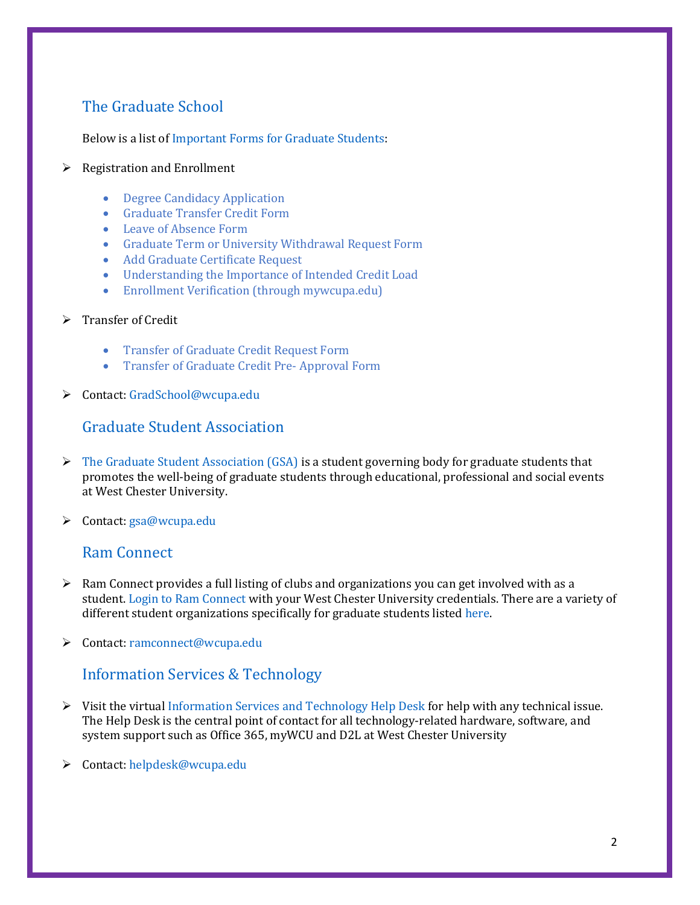# [The Graduate School](https://www.wcupa.edu/_admissions/SCH_DGR/default.aspx)

Below is a list o[f Important Forms for Graduate Students:](https://www.wcupa.edu/_admissions/SCH_DGR/forms.aspx)

#### $\triangleright$  Registration and Enrollment

- [Degree Candidacy Application](https://www.wcupa.edu/_admissions/sch_dgr/forms/degreeCandidacy/)
- [Graduate Transfer Credit Form](https://www.wcupa.edu/_admissions/SCH_DGR/documents/TRANSFEROFGRADUATECREDIT_EN.pdf)
- [Leave of Absence Form](https://www.wcupa.edu/_admissions/SCH_DGR/documents/LeaveOfAbsenceForm_New.pdf)
- [Graduate Term or University Withdrawal Request Form](https://www.wcupa.edu/_admissions/SCH_DGR/documents/Term_UniversityWithdrawal_form.pdf)
- [Add Graduate Certificate Request](https://www.wcupa.edu/registrar/documents/GraduateAddCertificateRequestviamyWCU.pdf)
- [Understanding the Importance of Intended Credit Load](https://www.wcupa.edu/_admissions/SCH_DGR/documents/NEWSelfServiceCreditLoadSelect.pdf)
- [Enrollment Verification \(through mywcupa.edu\)](https://rcremote.wcupa.edu/registrar/documents/enrollmentVerificationInstructions.pdf)
- ➢ Transfer of Credit
	- [Transfer of Graduate Credit Request Form](https://www.wcupa.edu/_admissions/SCH_DGR/documents/TRANSFEROFGRADUATECREDIT_EN-New.pdf)
	- [Transfer of Graduate Credit Pre-](https://www.wcupa.edu/_admissions/SCH_DGR/documents/Graduate%20Transfer%20of%20Credit%20Pre-Approval%20form-New.pdf) Approval Form
- ➢ Contact: [GradSchool@wcupa.edu](mailto:GradSchool@wcupa.edu)

#### [Graduate Student Association](https://www.wcupa.edu/_admissions/sch_dgr/gsa/default.aspx)

- $\triangleright$  [The Graduate Student Association \(GSA\)](https://www.wcupa.edu/_admissions/sch_dgr/gsa/default.aspx) is a student governing body for graduate students that promotes the well-being of graduate students through educational, professional and social events at West Chester University.
- ➢ Contact: [gsa@wcupa.edu](mailto:gsa@wcupa.edu)

#### [Ram Connect](https://ramconnect.wcupa.edu/login_only?redirect=https%3a%2f%2framconnect.wcupa.edu%2fgroups)

- ➢ Ram Connect provides a full listing of clubs and organizations you can get involved with as a student[. Login to Ram Connect](https://ramconnect.wcupa.edu/login_only?redirect=https%3a%2f%2framconnect.wcupa.edu%2fgroups) with your West Chester University credentials. There are a variety of different student organizations specifically for graduate students listed [here.](https://www.wcupa.edu/_admissions/SCH_DGR/gsa/resources.aspx)
- ➢ Contact: [ramconnect@wcupa.edu](mailto:ramconnect@wcupa.edu)

## [Information Services & Technology](https://www.wcupa.edu/infoServices/)

- $\triangleright$  Visit the virtual [Information Services and Technology Help Desk](https://www.wcupa.edu/infoservices/helpSupport.aspx) for help with any technical issue. The Help Desk is the central point of contact for all technology-related hardware, software, and system support such as Office 365, myWCU and D2L at West Chester University
- ➢ Contact: [helpdesk@wcupa.edu](mailto:helpdesk@wcupa.edu)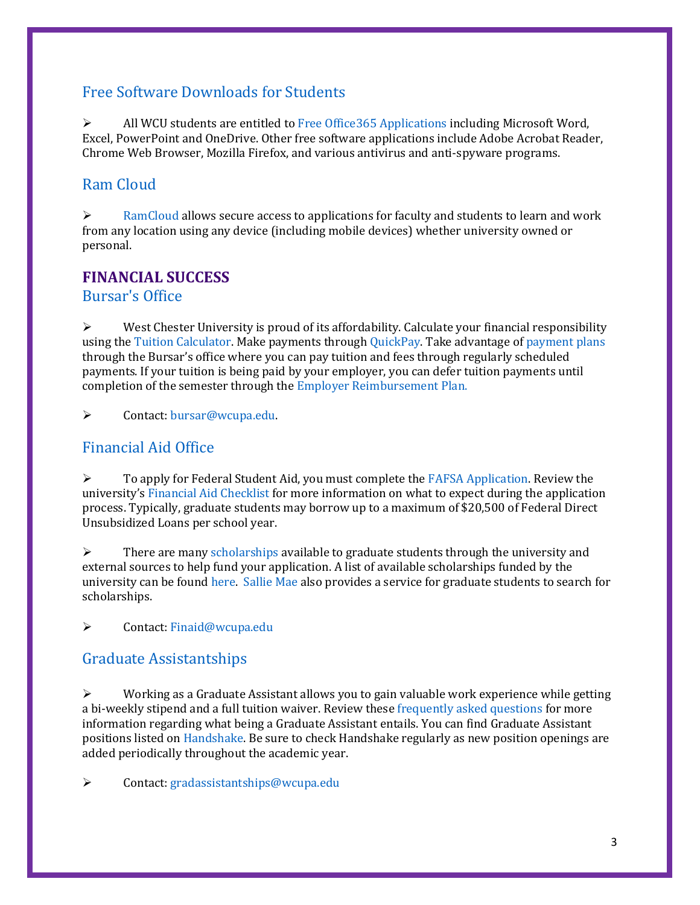## [Free Software Downloads for Students](https://www.wcupa.edu/infoServices/resnet/studentSoftware.aspx)

➢ All WCU students are entitled t[o Free Office365 Applications](https://www.wcupa.edu/infoServices/office365/default.aspx) including Microsoft Word, Excel, PowerPoint and OneDrive. Other free software applications include Adobe Acrobat Reader, Chrome Web Browser, Mozilla Firefox, and various antivirus and anti-spyware programs.

# [Ram Cloud](https://www.wcupa.edu/infoServices/ramCloud/default.aspx)

 $\triangleright$  [RamCloud](https://www.wcupa.edu/infoServices/ramCloud/default.aspx) allows secure access to applications for faculty and students to learn and work from any location using any device (including mobile devices) whether university owned or personal.

## **FINANCIAL SUCCESS**

[Bursar's Office](https://www.wcupa.edu/_information/afa/fiscal/bursar/)

 $\triangleright$  West Chester University is proud of its affordability. Calculate your financial responsibility using th[e Tuition Calculator.](https://www.wcupa.edu/_information/AFA/Fiscal/Bursar/forms/costCalculator/) Make payments throug[h QuickPay.](https://quikpayasp.com/wcupa/tuition/authorized.do) Take advantage of [payment plans](https://www.wcupa.edu/_information/afa/fiscal/bursar/paymentPlans.aspx) through the Bursar's office where you can pay tuition and fees through regularly scheduled payments. If your tuition is being paid by your employer, you can defer tuition payments until completion of the semester through the [Employer Reimbursement Plan.](https://www.wcupa.edu/_information/AFA/Fiscal/Bursar/employerReimbursement.aspx)

➢ Contact: [bursar@wcupa.edu.](mailto:bursar@wcupa.edu)

## [Financial Aid Office](https://www.wcupa.edu/financialAid/)

 $\triangleright$  To apply for Federal Student Aid, you must complete th[e FAFSA Application.](https://studentaid.gov/h/apply-for-aid/fafsa) Review the university's [Financial Aid Checklist](https://www.wcupa.edu/financialAid/documents/FINAID_ProcessChecklist.pdf) for more information on what to expect during the application process. Typically, graduate students may borrow up to a maximum of \$20,500 of Federal Direct Unsubsidized Loans per school year.

 $\triangleright$  There are man[y scholarships](https://www.wcupa.edu/financialAid/scholarships.aspx) available to graduate students through the university and external sources to help fund your application. A list of available scholarships funded by the university can be foun[d here.](https://wcupa.scholarships.ngwebsolutions.com/scholarx_scholarshipsearch.aspx) [Sallie Mae](https://www.salliemae.com/student-loans/graduate-school-information/graduate-school-scholarships/) also provides a service for graduate students to search for scholarships.

➢ Contact: [Finaid@wcupa.edu](mailto:Finaid@wcupa.edu)

#### [Graduate Assistantships](https://catalog.wcupa.edu/general-information/tuition-fees-financial-aid/graduate-assistantships/)

 $\triangleright$  Working as a Graduate Assistant allows you to gain valuable work experience while getting a bi-weekly stipend and a full tuition waiver. Review thes[e frequently asked questions](https://www.wcupa.edu/_admissions/sch_dgr/assistantships.aspx) for more information regarding what being a Graduate Assistant entails. You can find Graduate Assistant positions listed o[n Handshake.](https://wcupa.joinhandshake.com/login) Be sure to check Handshake regularly as new position openings are added periodically throughout the academic year.

➢ Contact: [gradassistantships@wcupa.edu](mailto:gradassistantships@wcupa.edu)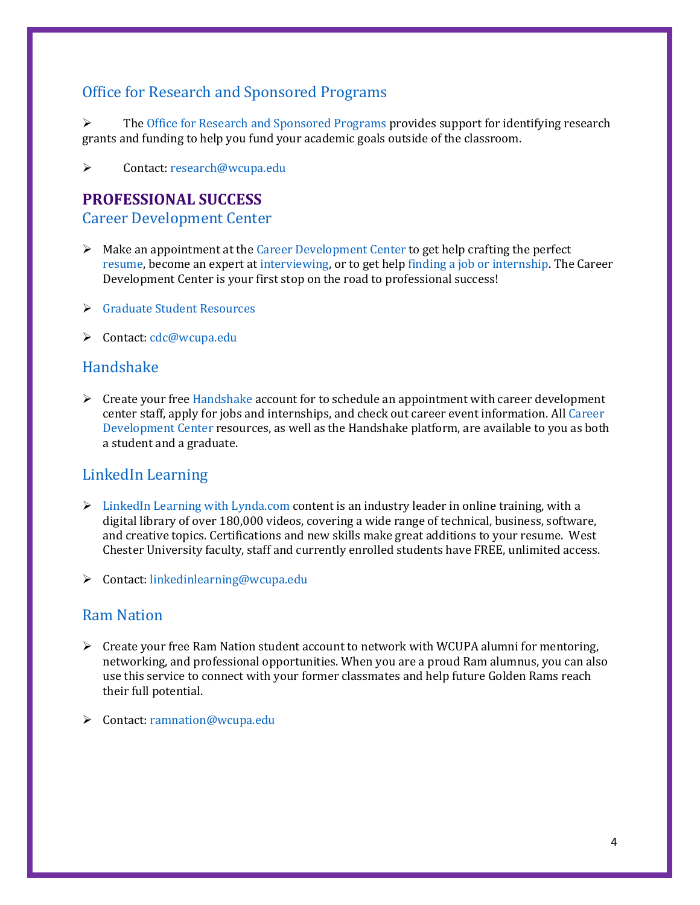# [Office for Research and Sponsored Programs](https://www.wcupa.edu/_admin/research/)

➢ Th[e Office for Research and Sponsored Programs](https://www.wcupa.edu/_admin/research/) provides support for identifying research grants and funding to help you fund your academic goals outside of the classroom.

➢ Contact: [research@wcupa.edu](mailto:research@wcupa.edu)

#### **PROFESSIONAL SUCCESS**

[Career Development Center](https://www.wcupa.edu/_services/careerDevelopment/)

- $\triangleright$  Make an appointment at the [Career Development Center](https://www.wcupa.edu/_services/careerDevelopment/) to get help crafting the perfect [resume,](https://www.wcupa.edu/_services/careerDevelopment/resumeCoverLetter.aspx) become an expert a[t interviewing,](https://www.wcupa.edu/_services/careerDevelopment/interviewing.aspx) or to get help [finding a job or internship.](https://www.wcupa.edu/_services/careerDevelopment/internJobs.aspx) The Career Development Center is your first stop on the road to professional success!
- ➢ [Graduate Student Resources](https://www.wcupa.edu/business-PublicManagement/PPA/mpa/documents/cdcGraduateStudentResources.pdf)
- ➢ [Contact: cd](https://wcupa.joinhandshake.com/login)c@wcupa.edu

#### Handshake

 $\triangleright$  [Create your free Hand](https://www.wcupa.edu/_services/careerDevelopment/)shake account for to schedule an appointment with career devel[opment](https://www.wcupa.edu/_services/careerDevelopment/) center staff, apply for jobs and internships, and check out career event information. All Career Development Center resources, as well as the Handshake platform, are available to you as both [a student and a](https://www.wcupa.edu/linkedInLearning/) graduate.

## Li[nkedIn Learning](https://www.wcupa.edu/linkedInLearning/)

- $\triangleright$  LinkedIn Learning with Lynda.com content is an industry leader in online training, with a digital library of over 180,000 videos, covering a wide range of technical, business, software, and creative topics. Certifications and new skills make great additions to your resume. West Chester [University faculty, staff and cur](mailto:linkedinlearning@wcupa.edu)rently enrolled students have FREE, unlimited access.
- ➢ [Contact: link](https://ramnation.wcupa.edu/)edinlearning@wcupa.edu

#### Ram Nation

- $\triangleright$  Create your free Ram Nation student account to network with WCUPA alumni for mentoring, networking, and professional opportunities. When you are a proud Ram alumnus, you can also use this service to connect with your former classmates and help future Golden Rams reach their ful[l potential.](mailto:ramnation@wcupa.edu)
- ➢ Contact: ramnation@wcupa.edu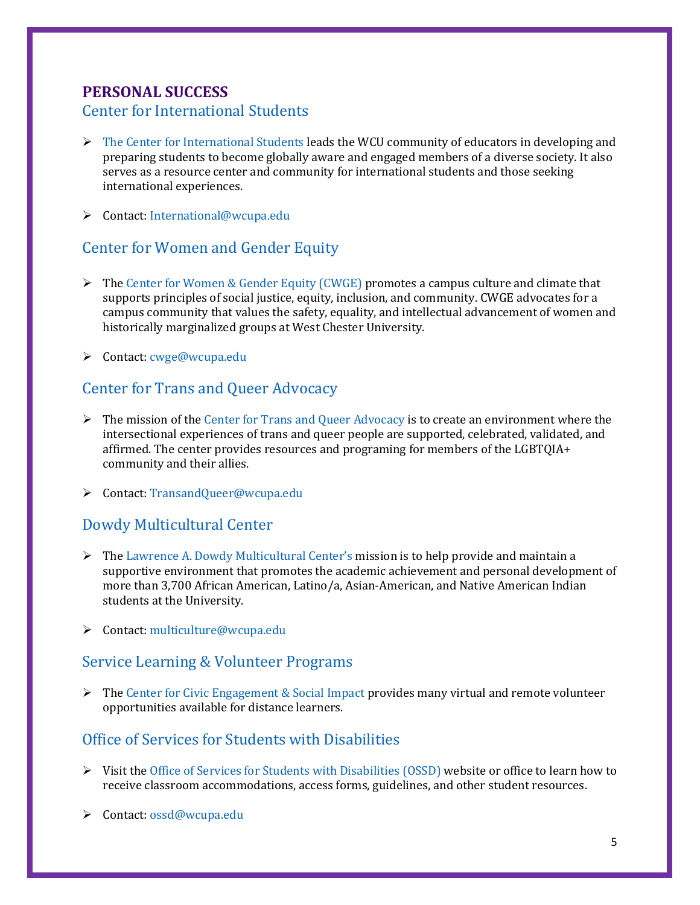# **PERSONAL SUCCESS**

#### [Center for International Students](https://www.wcupa.edu/international/internationalStudents/default.aspx)

- $\triangleright$  [The Center for International Students](https://www.wcupa.edu/international/internationalStudents/default.aspx) leads the WCU community of educators in developing and preparing students to become globally aware and engaged members of a diverse society. It also serves as a resource center and community for international students and those seeking international experiences.
- ➢ Contact: [International@wcupa.edu](mailto:International@wcupa.edu)

## [Center for Women and Gender Equity](https://www.wcupa.edu/_services/stu.wce/default.aspx)

- $\triangleright$  Th[e Center for Women & Gender Equity \(CWGE\)](https://www.wcupa.edu/_services/stu.wce/default.aspx) promotes a campus culture and climate that supports principles of social justice, equity, inclusion, and community. CWGE advocates for a campus community that values the safety, equality, and intellectual advancement of women and historically marginalized groups at West Chester University.
- ➢ Contact: [cwge@wcupa.edu](mailto:cwge@wcupa.edu)

# [Center for Trans and Queer Advocacy](https://www.wcupa.edu/_services/transandqueer/)

- $\triangleright$  The mission of th[e Center for Trans and Queer Advocacy](https://www.wcupa.edu/_services/transandqueer/) is to create an environment where the intersectional experiences of trans and queer people are supported, celebrated, validated, and affirmed. The center provides resources and programing for members of the LGBTQIA+ community and their allies.
- ➢ Contact: [TransandQueer@wcupa.edu](mailto:TransandQueer@wcupa.edu)

## [Dowdy Multicultural Center](https://www.wcupa.edu/_services/multicultural/default.aspx)

- $\triangleright$  The [Lawrence A. Dowdy Multicultural Center's](https://www.wcupa.edu/_services/multicultural/default.aspx) mission is to help provide and maintain a supportive environment that promotes the academic achievement and personal development of more than 3,700 African American, Latino/a, Asian-American, and Native American Indian students at the University.
- ➢ Contact: [multiculture@wcupa.edu](mailto:multiculture@wcupa.edu)

## [Service Learning & Volunteer Programs](https://www.wcupa.edu/_services/civicEngagementSocialImpact/serviceLearning.aspx)

 $\triangleright$  Th[e Center for Civic Engagement & Social Impact](https://www.wcupa.edu/_services/civicEngagementSocialImpact/socialDistance.aspx) provides many virtual and remote volunteer opportunities available for distance learners.

## [Office of Services for Students with Disabilities](https://www.wcupa.edu/universityCollege/OSSD/)

- ➢ Visit the [Office of Services for Students with Disabilities \(OSSD\)](https://www.wcupa.edu/universityCollege/OSSD/) website or office to learn how to receive classroom accommodations, access forms, guidelines, and other student resources.
- ➢ Contact: [ossd@wcupa.edu](mailto:ossd@wcupa.edu)